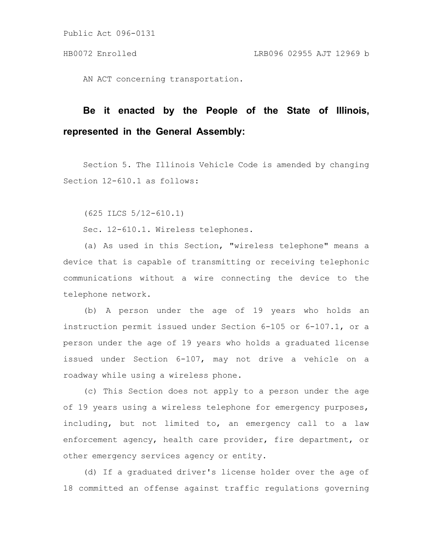Public Act 096-0131

AN ACT concerning transportation.

## **Be it enacted by the People of the State of Illinois, represented in the General Assembly:**

Section 5. The Illinois Vehicle Code is amended by changing Section 12-610.1 as follows:

(625 ILCS 5/12-610.1)

Sec. 12-610.1. Wireless telephones.

(a) As used in this Section, "wireless telephone" means a device that is capable of transmitting or receiving telephonic communications without a wire connecting the device to the telephone network.

(b) A person under the age of 19 years who holds an instruction permit issued under Section 6-105 or 6-107.1, or a person under the age of 19 years who holds a graduated license issued under Section 6-107, may not drive a vehicle on a roadway while using a wireless phone.

(c) This Section does not apply to a person under the age of 19 years using a wireless telephone for emergency purposes, including, but not limited to, an emergency call to a law enforcement agency, health care provider, fire department, or other emergency services agency or entity.

(d) If a graduated driver's license holder over the age of 18 committed an offense against traffic regulations governing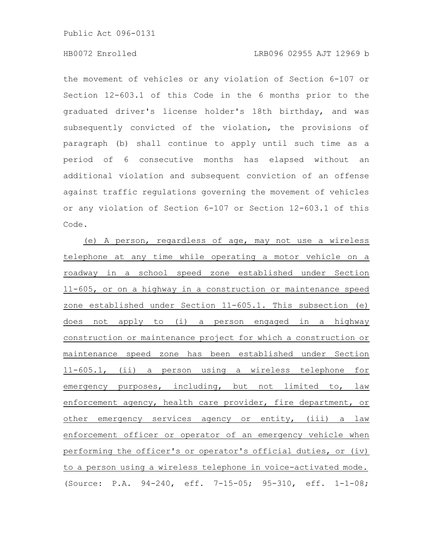Public Act 096-0131

the movement of vehicles or any violation of Section 6-107 or Section 12-603.1 of this Code in the 6 months prior to the graduated driver's license holder's 18th birthday, and was subsequently convicted of the violation, the provisions of paragraph (b) shall continue to apply until such time as a period of 6 consecutive months has elapsed without an additional violation and subsequent conviction of an offense against traffic regulations governing the movement of vehicles or any violation of Section 6-107 or Section 12-603.1 of this Code.

(e) A person, regardless of age, may not use a wireless telephone at any time while operating a motor vehicle on a roadway in a school speed zone established under Section 11-605, or on a highway in a construction or maintenance speed zone established under Section 11-605.1. This subsection (e) does not apply to (i) a person engaged in a highway construction or maintenance project for which a construction or maintenance speed zone has been established under Section 11-605.1, (ii) a person using a wireless telephone for emergency purposes, including, but not limited to, law enforcement agency, health care provider, fire department, or other emergency services agency or entity, (iii) a law enforcement officer or operator of an emergency vehicle when performing the officer's or operator's official duties, or (iv) to a person using a wireless telephone in voice-activated mode. (Source: P.A. 94-240, eff. 7-15-05; 95-310, eff. 1-1-08;